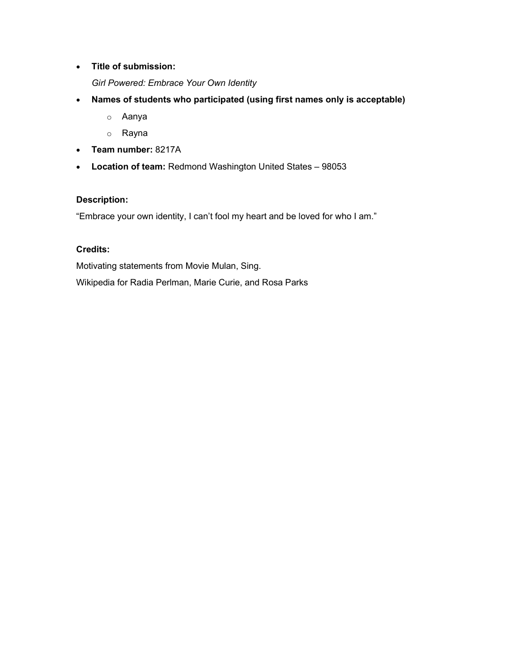Title of submission:

Girl Powered: Embrace Your Own Identity

- Names of students who participated (using first names only is acceptable)
	- o Aanya
	- o Rayna
- Team number: 8217A
- Location of team: Redmond Washington United States 98053

## Description:

"Embrace your own identity, I can't fool my heart and be loved for who I am."

## Credits:

Motivating statements from Movie Mulan, Sing.

Wikipedia for Radia Perlman, Marie Curie, and Rosa Parks